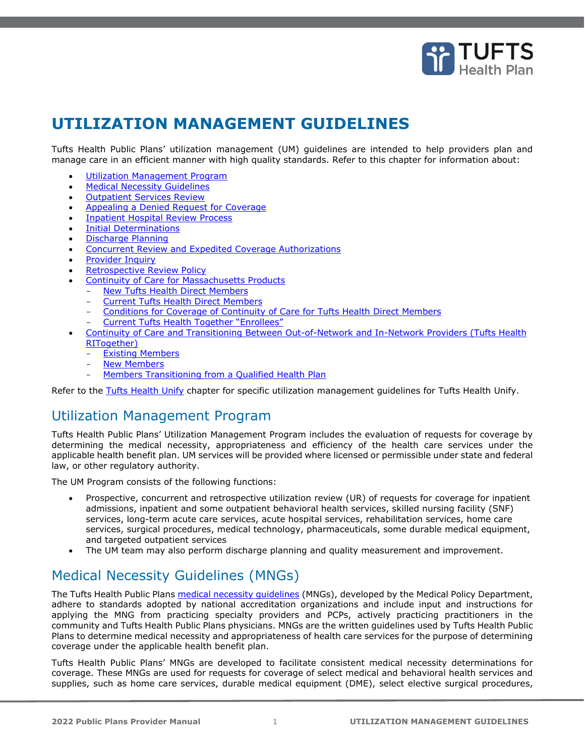

# <span id="page-0-0"></span>**UTILIZATION MANAGEMENT GUIDELINES**

Tufts Health Public Plans' utilization management (UM) guidelines are intended to help providers plan and manage care in an efficient manner with high quality standards. Refer to this chapter for information about:

- [Utilization Management Program](#page-0-0)
- [Medical Necessity Guidelines](#page-0-1)
- **[Outpatient Services Review](#page-1-0)**
- [Appealing a Denied Request for Coverage](#page-5-0)
- **[Inpatient Hospital Review Process](#page-2-0)**
- [Initial Determinations](#page-2-1)
- Discharge Planning
- [Concurrent Review and Expedited Coverage Authorizations](#page-3-0)
- [Provider Inquiry](#page-5-1)
- [Retrospective Review Policy](#page-5-2)
- [Continuity of Care for](#page-5-3) Massachusetts Products
	- **[New Tufts Health Direct Members](#page-5-4)** 
		- Current Tufts Health Direct Members
		- [Conditions for Coverage of Continuity of Care for Tufts Health Direct Members](#page-6-1)
		- [Current Tufts Health Together "Enrollees"](#page-8-0)
- [Continuity of Care and Transitioning Between Out-of-Network and In-Network Providers \(Tufts Health](#page-8-1)  [RITogether\)](#page-8-1)
	- **[Existing Members](#page-9-0)**
	- [New Members](#page-9-1)
	- [Members Transitioning from a Qualified Health Plan](#page-9-2)

Refer to the Tufts Health Unify chapter for specific utilization management guidelines for Tufts Health Unify.

# Utilization Management Program

Tufts Health Public Plans' Utilization Management Program includes the evaluation of requests for coverage by determining the medical necessity, appropriateness and efficiency of the health care services under the applicable health benefit plan. UM services will be provided where licensed or permissible under state and federal law, or other regulatory authority.

The UM Program consists of the following functions:

- Prospective, concurrent and retrospective utilization review (UR) of requests for coverage for inpatient admissions, inpatient and some outpatient behavioral health services, skilled nursing facility (SNF) services, long-term acute care services, acute hospital services, rehabilitation services, home care services, surgical procedures, medical technology, pharmaceuticals, some durable medical equipment, and targeted outpatient services
- The UM team may also perform discharge planning and quality measurement and improvement.

# <span id="page-0-1"></span>Medical Necessity Guidelines (MNGs)

The Tufts Health Public Plans medical necessity quidelines (MNGs), developed by the Medical Policy Department, adhere to standards adopted by national accreditation organizations and include input and instructions for applying the MNG from practicing specialty providers and PCPs, actively practicing practitioners in the community and Tufts Health Public Plans physicians. MNGs are the written guidelines used by Tufts Health Public Plans to determine medical necessity and appropriateness of health care services for the purpose of determining coverage under the applicable health benefit plan.

Tufts Health Public Plans' MNGs are developed to facilitate consistent medical necessity determinations for coverage. These MNGs are used for requests for coverage of select medical and behavioral health services and supplies, such as home care services, durable medical equipment (DME), select elective surgical procedures,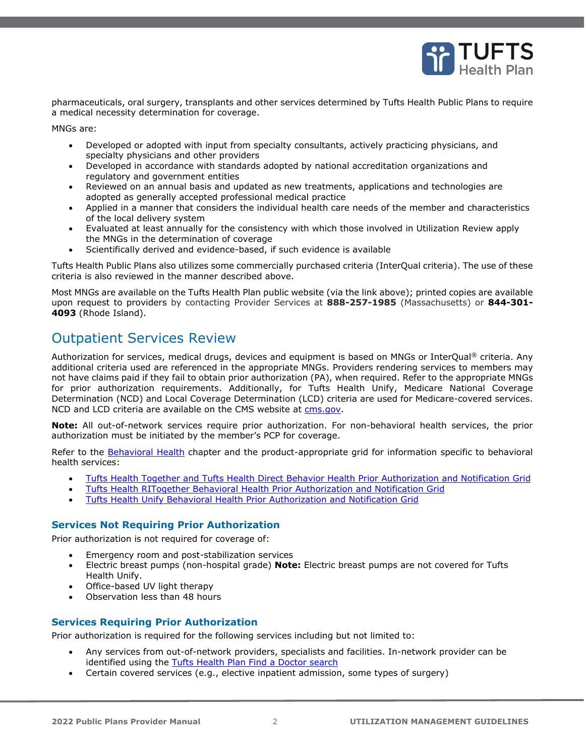

pharmaceuticals, oral surgery, transplants and other services determined by Tufts Health Public Plans to require a medical necessity determination for coverage.

MNGs are:

- Developed or adopted with input from specialty consultants, actively practicing physicians, and specialty physicians and other providers
- Developed in accordance with standards adopted by national accreditation organizations and regulatory and government entities
- Reviewed on an annual basis and updated as new treatments, applications and technologies are adopted as generally accepted professional medical practice
- Applied in a manner that considers the individual health care needs of the member and characteristics of the local delivery system
- Evaluated at least annually for the consistency with which those involved in Utilization Review apply the MNGs in the determination of coverage
- Scientifically derived and evidence-based, if such evidence is available

Tufts Health Public Plans also utilizes some commercially purchased criteria (InterQual criteria). The use of these criteria is also reviewed in the manner described above.

Most MNGs are available on the Tufts Health Plan public website (via the link above); printed copies are available upon request to providers by contacting Provider Services at **888-257-1985** (Massachusetts) or **844-301- 4093** (Rhode Island).

# <span id="page-1-0"></span>Outpatient Services Review

Authorization for services, medical drugs, devices and equipment is based on MNGs or InterQual® criteria. Any additional criteria used are referenced in the appropriate MNGs. Providers rendering services to members may not have claims paid if they fail to obtain prior authorization (PA), when required. Refer to the appropriate [MNGs](https://tuftshealthplan.com/provider/resource-center#/Guidelines//Commercial///Medical_Necessity_Guidelines) for prior authorization requirements. Additionally, for Tufts Health Unify, Medicare National Coverage Determination (NCD) and Local Coverage Determination (LCD) criteria are used for Medicare-covered services. NCD and LCD criteria are available on the CMS website at [cms.gov.](http://www.cms.gov/)

**Note:** All out-of-network services require prior authorization. For non-behavioral health services, the prior authorization must be initiated by the member's PCP for coverage.

Refer to the Behavioral Health chapter and the product-appropriate grid for information specific to behavioral health services:

- [Tufts Health Together and Tufts Health Direct Behavior Health Prior Authorization and Notification Grid](https://tuftshealthplan.com/documents/providers/general/bh-pa-notification-grid)
- [Tufts Health RITogether Behavioral Health Prior Authorization and Notification Grid](https://tuftshealthplan.com/documents/providers/general/rit-bh-pa-notification-grid)
- [Tufts Health Unify Behavioral Health Prior Authorization and Notification Grid](https://tuftshealthplan.com/documents/providers/general/unify-bh-pa-notification-grid)

### **Services Not Requiring Prior Authorization**

Prior authorization is not required for coverage of:

- Emergency room and post-stabilization services
- Electric breast pumps (non-hospital grade) **Note:** Electric breast pumps are not covered for Tufts Health Unify.
- Office-based UV light therapy
- Observation less than 48 hours

### **Services Requiring Prior Authorization**

Prior authorization is required for the following services including but not limited to:

- Any services from out-of-network providers, specialists and facilities. In-network provider can be identified using the Tufts Health [Plan Find a Doctor search](https://tuftshealthplan.com/find-a-doctor)
- Certain covered services (e.g., elective inpatient admission, some types of surgery)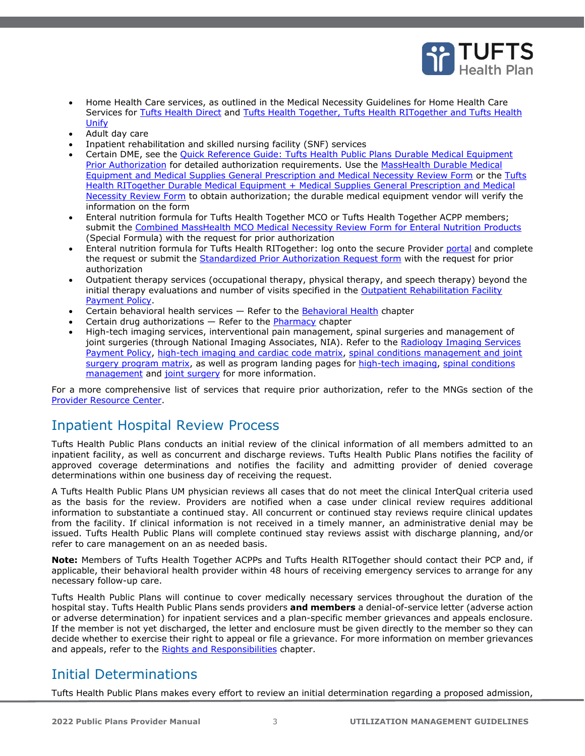

- Home Health Care services, as outlined in the Medical Necessity Guidelines for Home Health Care Services for [Tufts Health Direct](https://tuftshealthplan.com/documents/providers/guidelines/medical-necessity-guidelines/home-health-care-svcs) and Tufts Health Together, Tufts Health RITogether and Tufts Health [Unify](https://tuftshealthplan.com/documents/providers/guidelines/medical-necessity-guidelines/home-health-care-svcs-tog-unify)
- Adult day care
- Inpatient rehabilitation and skilled nursing facility (SNF) services
- Certain DME, see the [Quick Reference Guide: Tufts Health Public Plans Durable Medical Equipment](https://tuftshealthplan.com/documents/providers/guides/thpp-dme-pa-quick-reference-guide)  [Prior Authorization](https://tuftshealthplan.com/documents/providers/guides/thpp-dme-pa-quick-reference-guide) for detailed authorization requirements. Use the MassHealth Durable Medical [Equipment and Medical Supplies General Prescription and Medical Necessity Review Form](https://tuftshealthplan.com/documents/providers/forms/masshealth-dme-medical-supplies-prior-auth) or the [Tufts](https://tuftshealthplan.com/documents/providers/forms/rit-durable-medical-equipment-medical-supplies-g)  [Health RITogether Durable Medical Equipment + Medical Supplies General Prescription and Medical](https://tuftshealthplan.com/documents/providers/forms/rit-durable-medical-equipment-medical-supplies-g)  [Necessity Review Form](https://tuftshealthplan.com/documents/providers/forms/rit-durable-medical-equipment-medical-supplies-g) to obtain authorization; the durable medical equipment vendor will verify the information on the form
- Enteral nutrition formula for Tufts Health Together MCO or Tufts Health Together ACPP members; submit the [Combined MassHealth MCO Medical Necessity Review Form for Enteral Nutrition Products](https://tuftshealthplan.com/documents/providers/forms/thpp_combined-masshealth-managed-care-organiz) (Special Formula) with the request for prior authorization
- Enteral nutrition formula for Tufts Health RITogether: log onto [the](https://thpprovider.healthtrioconnect.com/app/index.page?) secure Provider [portal](https://tuftshealthplan.com/login) and complete the request or submit the [Standardized Prior Authorization Request form](http://www.eohhs.ri.gov/Portals/0/Uploads/Documents/pa_form.pdf) with the request for prior authorization
- Outpatient therapy services (occupational therapy, physical therapy, and speech therapy) beyond the initial therapy evaluations and number of visits specified in the [Outpatient Rehabilitation Facility](https://tuftshealthplan.com/documents/providers/payment-policies/tufts-health-public-plans/ma/outpatient-therapy-services)  [Payment Policy.](https://tuftshealthplan.com/documents/providers/payment-policies/tufts-health-public-plans/ma/outpatient-therapy-services)
- Certain behavioral health services  $-$  Refer to the **Behavioral Health** chapter
- Certain drug authorizations  $-$  Refer to the **Pharmacy** chapter
- High-tech imaging services, interventional pain management, spinal surgeries and management of joint surgeries (through National Imaging Associates, NIA). Refer to the Radiology Imaging Services [Payment Policy,](https://tuftshealthplan.com/documents/providers/payment-policies/tufts-health-public-plans/ma/radiology-imaging-services) [high-tech imaging and cardiac code matrix,](https://tuftshealthplan.com/documents/providers/payment-policies/high-tech-imaging-program-prior-authoriz) [spinal conditions management and joint](https://tuftshealthplan.com/documents/providers/guidelines/medical-necessity-guidelines/spinal-conditions-management-program-pa)  [surgery program matrix,](https://tuftshealthplan.com/documents/providers/guidelines/medical-necessity-guidelines/spinal-conditions-management-program-pa) as well as program landing pages for [high-tech imaging,](https://tuftshealthplan.com/documents/providers/guidelines/clinical-resources/high-tech-imaging-prior-auth-nia-cigna) [spinal conditions](https://tuftshealthplan.com/documents/providers/guidelines/clinical-resources/spinal-conditions-management-programs)  [management](https://tuftshealthplan.com/documents/providers/guidelines/clinical-resources/spinal-conditions-management-programs) and [joint surgery](https://tuftshealthplan.com/documents/providers/guidelines/medical-necessity-guidelines/joint-surgery-program) for more information.

For a more comprehensive list of services that require prior authorization, refer to the MNGs section of the [Provider Resource Center.](https://tuftshealthplan.com/provider/resource-center/resource-center#/Guidelines//Commercial///Medical_Necessity_Guidelines)

### <span id="page-2-0"></span>Inpatient Hospital Review Process

Tufts Health Public Plans conducts an initial review of the clinical information of all members admitted to an inpatient facility, as well as concurrent and discharge reviews. Tufts Health Public Plans notifies the facility of approved coverage determinations and notifies the facility and admitting provider of denied coverage determinations within one business day of receiving the request.

A Tufts Health Public Plans UM physician reviews all cases that do not meet the clinical InterQual criteria used as the basis for the review. Providers are notified when a case under clinical review requires additional information to substantiate a continued stay. All concurrent or continued stay reviews require clinical updates from the facility. If clinical information is not received in a timely manner, an administrative denial may be issued. Tufts Health Public Plans will complete continued stay reviews assist with discharge planning, and/or refer to care management on an as needed basis.

**Note:** Members of Tufts Health Together ACPPs and Tufts Health RITogether should contact their PCP and, if applicable, their behavioral health provider within 48 hours of receiving emergency services to arrange for any necessary follow-up care.

Tufts Health Public Plans will continue to cover medically necessary services throughout the duration of the hospital stay. Tufts Health Public Plans sends providers **and members** a denial-of-service letter (adverse action or adverse determination) for inpatient services and a plan-specific member grievances and appeals enclosure. If the member is not yet discharged, the letter and enclosure must be given directly to the member so they can decide whether to exercise their right to appeal or file a grievance. For more information on member grievances and appeals, refer to the Rights and Responsibilities chapter.

### <span id="page-2-1"></span>Initial Determinations

Tufts Health Public Plans makes every effort to review an initial determination regarding a proposed admission,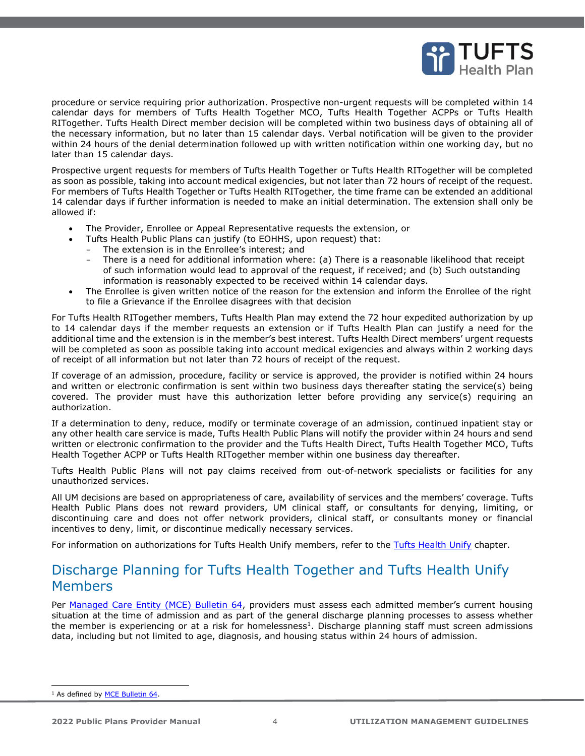

procedure or service requiring prior authorization. Prospective non-urgent requests will be completed within 14 calendar days for members of Tufts Health Together MCO, Tufts Health Together ACPPs or Tufts Health RITogether. Tufts Health Direct member decision will be completed within two business days of obtaining all of the necessary information, but no later than 15 calendar days. Verbal notification will be given to the provider within 24 hours of the denial determination followed up with written notification within one working day, but no later than 15 calendar days.

Prospective urgent requests for members of Tufts Health Together or Tufts Health RITogether will be completed as soon as possible, taking into account medical exigencies, but not later than 72 hours of receipt of the request. For members of Tufts Health Together or Tufts Health RITogether*,* the time frame can be extended an additional 14 calendar days if further information is needed to make an initial determination. The extension shall only be allowed if:

- The Provider, Enrollee or Appeal Representative requests the extension, or
- Tufts Health Public Plans can justify (to EOHHS, upon request) that:
	- The extension is in the Enrollee's interest; and
	- There is a need for additional information where: (a) There is a reasonable likelihood that receipt of such information would lead to approval of the request, if received; and (b) Such outstanding information is reasonably expected to be received within 14 calendar days.
- The Enrollee is given written notice of the reason for the extension and inform the Enrollee of the right to file a Grievance if the Enrollee disagrees with that decision

For Tufts Health RITogether members, Tufts Health Plan may extend the 72 hour expedited authorization by up to 14 calendar days if the member requests an extension or if Tufts Health Plan can justify a need for the additional time and the extension is in the member's best interest. Tufts Health Direct members' urgent requests will be completed as soon as possible taking into account medical exigencies and always within 2 working days of receipt of all information but not later than 72 hours of receipt of the request.

If coverage of an admission, procedure, facility or service is approved, the provider is notified within 24 hours and written or electronic confirmation is sent within two business days thereafter stating the service(s) being covered. The provider must have this authorization letter before providing any service(s) requiring an authorization.

If a determination to deny, reduce, modify or terminate coverage of an admission, continued inpatient stay or any other health care service is made, Tufts Health Public Plans will notify the provider within 24 hours and send written or electronic confirmation to the provider and the Tufts Health Direct, Tufts Health Together MCO, Tufts Health Together ACPP or Tufts Health RITogether member within one business day thereafter.

Tufts Health Public Plans will not pay claims received from out-of-network specialists or facilities for any unauthorized services.

All UM decisions are based on appropriateness of care, availability of services and the members' coverage. Tufts Health Public Plans does not reward providers, UM clinical staff, or consultants for denying, limiting, or discontinuing care and does not offer network providers, clinical staff, or consultants money or financial incentives to deny, limit, or discontinue medically necessary services.

For information on authorizations for Tufts Health Unify members, refer to the Tufts Health Unify chapter.

# <span id="page-3-0"></span>Discharge Planning for Tufts Health Together and Tufts Health Unify Members

Per [Managed Care Entity \(MCE\) Bulletin 64](https://www.mass.gov/doc/managed-care-entities-bulletin/download), providers must assess each admitted member's current housing situation at the time of admission and as part of the general discharge planning processes to assess whether the member is experiencing or at a risk for homelessness<sup>1</sup>. Discharge planning staff must screen admissions data, including but not limited to age, diagnosis, and housing status within 24 hours of admission.

<sup>&</sup>lt;sup>1</sup> As defined by **MCE Bulletin 64**.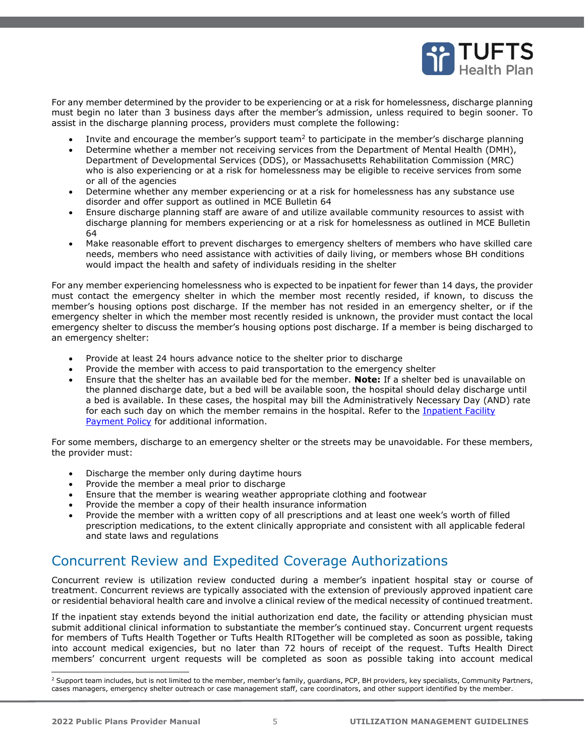

For any member determined by the provider to be experiencing or at a risk for homelessness, discharge planning must begin no later than 3 business days after the member's admission, unless required to begin sooner. To assist in the discharge planning process, providers must complete the following:

- Invite and encourage the member's support team<sup>2</sup> to participate in the member's discharge planning
- Determine whether a member not receiving services from the Department of Mental Health (DMH), Department of Developmental Services (DDS), or Massachusetts Rehabilitation Commission (MRC) who is also experiencing or at a risk for homelessness may be eligible to receive services from some or all of the agencies
- Determine whether any member experiencing or at a risk for homelessness has any substance use disorder and offer support as outlined in MCE Bulletin 64
- Ensure discharge planning staff are aware of and utilize available community resources to assist with discharge planning for members experiencing or at a risk for homelessness as outlined in MCE Bulletin 64
- Make reasonable effort to prevent discharges to emergency shelters of members who have skilled care needs, members who need assistance with activities of daily living, or members whose BH conditions would impact the health and safety of individuals residing in the shelter

For any member experiencing homelessness who is expected to be inpatient for fewer than 14 days, the provider must contact the emergency shelter in which the member most recently resided, if known, to discuss the member's housing options post discharge. If the member has not resided in an emergency shelter, or if the emergency shelter in which the member most recently resided is unknown, the provider must contact the local emergency shelter to discuss the member's housing options post discharge. If a member is being discharged to an emergency shelter:

- Provide at least 24 hours advance notice to the shelter prior to discharge
- Provide the member with access to paid transportation to the emergency shelter
- Ensure that the shelter has an available bed for the member. **Note:** If a shelter bed is unavailable on the planned discharge date, but a bed will be available soon, the hospital should delay discharge until a bed is available. In these cases, the hospital may bill the Administratively Necessary Day (AND) rate for each such day on which the member remains in the hospital. Refer to the Inpatient Facility [Payment Policy](https://tuftshealthplan.com/Documents/Providers/Payment-Policies/inpatient-thpp) for additional information.

For some members, discharge to an emergency shelter or the streets may be unavoidable. For these members, the provider must:

- Discharge the member only during daytime hours
- Provide the member a meal prior to discharge
- Ensure that the member is wearing weather appropriate clothing and footwear
- Provide the member a copy of their health insurance information
- Provide the member with a written copy of all prescriptions and at least one week's worth of filled prescription medications, to the extent clinically appropriate and consistent with all applicable federal and state laws and regulations

# Concurrent Review and Expedited Coverage Authorizations

Concurrent review is utilization review conducted during a member's inpatient hospital stay or course of treatment. Concurrent reviews are typically associated with the extension of previously approved inpatient care or residential behavioral health care and involve a clinical review of the medical necessity of continued treatment.

If the inpatient stay extends beyond the initial authorization end date, the facility or attending physician must submit additional clinical information to substantiate the member's continued stay. Concurrent urgent requests for members of Tufts Health Together or Tufts Health RITogether will be completed as soon as possible, taking into account medical exigencies, but no later than 72 hours of receipt of the request. Tufts Health Direct members' concurrent urgent requests will be completed as soon as possible taking into account medical

<sup>&</sup>lt;sup>2</sup> Support team includes, but is not limited to the member, member's family, quardians, PCP, BH providers, key specialists, Community Partners, cases managers, emergency shelter outreach or case management staff, care coordinators, and other support identified by the member.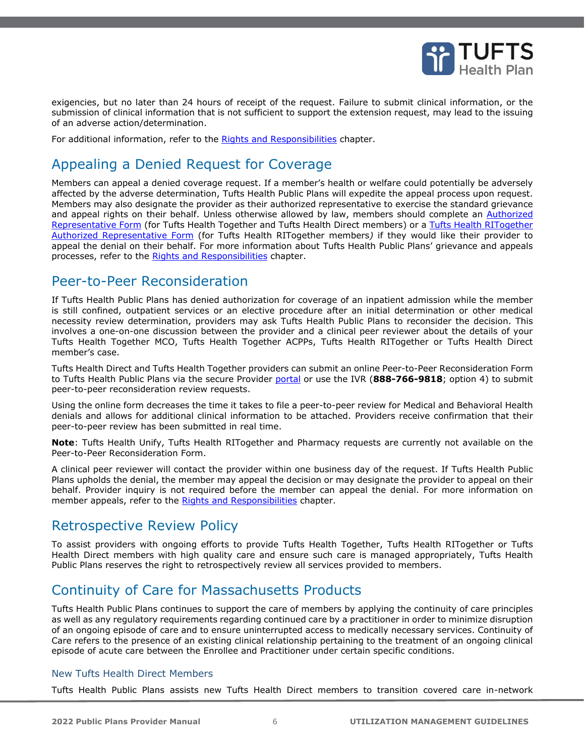

exigencies, but no later than 24 hours of receipt of the request. Failure to submit clinical information, or the submission of clinical information that is not sufficient to support the extension request, may lead to the issuing of an adverse action/determination.

For additional information, refer to the Rights and Responsibilities chapter.

# <span id="page-5-0"></span>Appealing a Denied Request for Coverage

Members can appeal a denied coverage request. If a member's health or welfare could potentially be adversely affected by the adverse determination, Tufts Health Public Plans will expedite the appeal process upon request. Members may also designate the provider as their authorized representative to exercise the standard grievance and appeal rights on their behalf. Unless otherwise allowed by law, members should complete an [Authorized](https://tuftshealthplan.com/documents/members/forms/thpp-non-unify-authorized-rep-form)  [Representative Form](https://tuftshealthplan.com/documents/members/forms/thpp-non-unify-authorized-rep-form) (for Tufts Health Together and Tufts Health Direct members) or a Tufts Health RITogether [Authorized Representative Form](https://tuftshealthplan.com/documents/members/forms/rit-authorized-representative-form) (for Tufts Health RITogether members*)* if they would like their provider to appeal the denial on their behalf. For more information about Tufts Health Public Plans' grievance and appeals processes, refer to the Rights and Responsibilities chapter.

### <span id="page-5-1"></span>Peer-to-Peer Reconsideration

If Tufts Health Public Plans has denied authorization for coverage of an inpatient admission while the member is still confined, outpatient services or an elective procedure after an initial determination or other medical necessity review determination, providers may ask Tufts Health Public Plans to reconsider the decision. This involves a one-on-one discussion between the provider and a clinical peer reviewer about the details of your Tufts Health Together MCO, Tufts Health Together ACPPs, Tufts Health RITogether or Tufts Health Direct member's case.

Tufts Health Direct and Tufts Health Together providers can submit an online Peer-to-Peer Reconsideration Form to Tufts Health Public Plans via the secure Provider [portal](https://tuftshealthplan.com/login) or use the IVR (**888-766-9818**; option 4) to submit peer-to-peer reconsideration review requests.

Using the online form decreases the time it takes to file a peer-to-peer review for Medical and Behavioral Health denials and allows for additional clinical information to be attached. Providers receive confirmation that their peer-to-peer review has been submitted in real time.

**Note**: Tufts Health Unify, Tufts Health RITogether and Pharmacy requests are currently not available on the Peer-to-Peer Reconsideration Form.

A clinical peer reviewer will contact the provider within one business day of the request. If Tufts Health Public Plans upholds the denial, the member may appeal the decision or may designate the provider to appeal on their behalf. Provider inquiry is not required before the member can appeal the denial. For more information on member appeals, refer to the Rights and Responsibilities chapter.

# <span id="page-5-2"></span>Retrospective Review Policy

To assist providers with ongoing efforts to provide Tufts Health Together, Tufts Health RITogether or Tufts Health Direct members with high quality care and ensure such care is managed appropriately, Tufts Health Public Plans reserves the right to retrospectively review all services provided to members.

# <span id="page-5-3"></span>Continuity of Care for Massachusetts Products

Tufts Health Public Plans continues to support the care of members by applying the continuity of care principles as well as any regulatory requirements regarding continued care by a practitioner in order to minimize disruption of an ongoing episode of care and to ensure uninterrupted access to medically necessary services. Continuity of Care refers to the presence of an existing clinical relationship pertaining to the treatment of an ongoing clinical episode of acute care between the Enrollee and Practitioner under certain specific conditions.

### <span id="page-5-4"></span>New Tufts Health Direct Members

Tufts Health Public Plans assists new Tufts Health Direct members to transition covered care in-network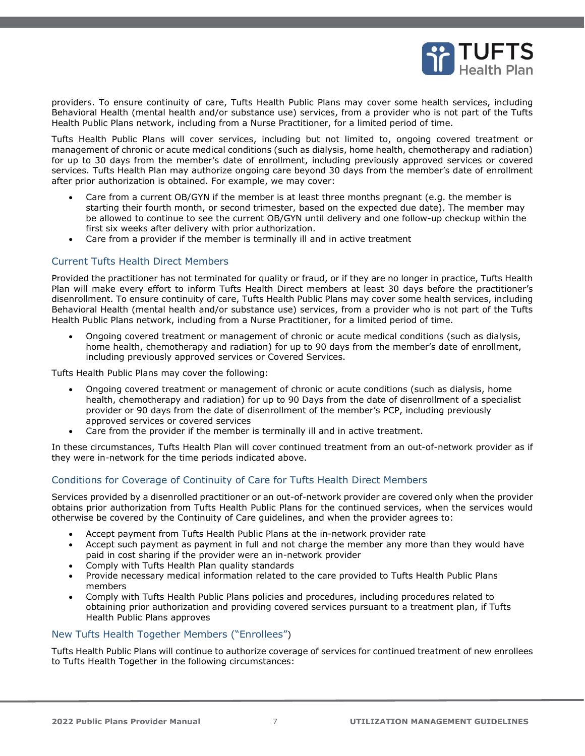

providers. To ensure continuity of care, Tufts Health Public Plans may cover some health services, including Behavioral Health (mental health and/or substance use) services, from a provider who is not part of the Tufts Health Public Plans network, including from a Nurse Practitioner, for a limited period of time.

Tufts Health Public Plans will cover services, including but not limited to, ongoing covered treatment or management of chronic or acute medical conditions (such as dialysis, home health, chemotherapy and radiation) for up to 30 days from the member's date of enrollment, including previously approved services or covered services. Tufts Health Plan may authorize ongoing care beyond 30 days from the member's date of enrollment after prior authorization is obtained. For example, we may cover:

- Care from a current OB/GYN if the member is at least three months pregnant (e.g. the member is starting their fourth month, or second trimester, based on the expected due date). The member may be allowed to continue to see the current OB/GYN until delivery and one follow-up checkup within the first six weeks after delivery with prior authorization.
- Care from a provider if the member is terminally ill and in active treatment

#### <span id="page-6-0"></span>Current Tufts Health Direct Members

Provided the practitioner has not terminated for quality or fraud, or if they are no longer in practice, Tufts Health Plan will make every effort to inform Tufts Health Direct members at least 30 days before the practitioner's disenrollment. To ensure continuity of care, Tufts Health Public Plans may cover some health services, including Behavioral Health (mental health and/or substance use) services, from a provider who is not part of the Tufts Health Public Plans network, including from a Nurse Practitioner, for a limited period of time.

• Ongoing covered treatment or management of chronic or acute medical conditions (such as dialysis, home health, chemotherapy and radiation) for up to 90 days from the member's date of enrollment, including previously approved services or Covered Services.

Tufts Health Public Plans may cover the following:

- Ongoing covered treatment or management of chronic or acute conditions (such as dialysis, home health, chemotherapy and radiation) for up to 90 Days from the date of disenrollment of a specialist provider or 90 days from the date of disenrollment of the member's PCP, including previously approved services or covered services
- Care from the provider if the member is terminally ill and in active treatment.

In these circumstances, Tufts Health Plan will cover continued treatment from an out-of-network provider as if they were in-network for the time periods indicated above.

### <span id="page-6-1"></span>Conditions for Coverage of Continuity of Care for Tufts Health Direct Members

Services provided by a disenrolled practitioner or an out-of-network provider are covered only when the provider obtains prior authorization from Tufts Health Public Plans for the continued services, when the services would otherwise be covered by the Continuity of Care guidelines, and when the provider agrees to:

- Accept payment from Tufts Health Public Plans at the in-network provider rate
- Accept such payment as payment in full and not charge the member any more than they would have paid in cost sharing if the provider were an in-network provider
- Comply with Tufts Health Plan quality standards
- Provide necessary medical information related to the care provided to Tufts Health Public Plans members
- Comply with Tufts Health Public Plans policies and procedures, including procedures related to obtaining prior authorization and providing covered services pursuant to a treatment plan, if Tufts Health Public Plans approves

#### New Tufts Health Together Members ("Enrollees")

Tufts Health Public Plans will continue to authorize coverage of services for continued treatment of new enrollees to Tufts Health Together in the following circumstances: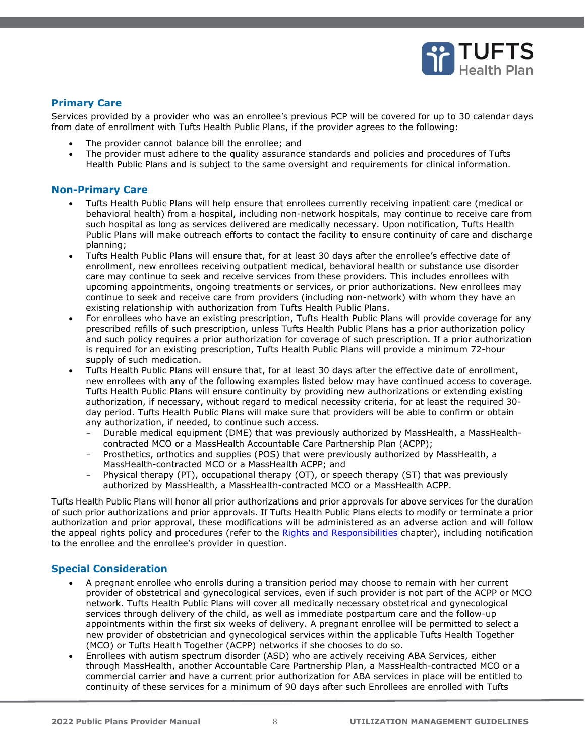

### **Primary Care**

Services provided by a provider who was an enrollee's previous PCP will be covered for up to 30 calendar days from date of enrollment with Tufts Health Public Plans, if the provider agrees to the following:

- The provider cannot balance bill the enrollee; and
- The provider must adhere to the quality assurance standards and policies and procedures of Tufts Health Public Plans and is subject to the same oversight and requirements for clinical information.

#### **Non-Primary Care**

- Tufts Health Public Plans will help ensure that enrollees currently receiving inpatient care (medical or behavioral health) from a hospital, including non-network hospitals, may continue to receive care from such hospital as long as services delivered are medically necessary. Upon notification, Tufts Health Public Plans will make outreach efforts to contact the facility to ensure continuity of care and discharge planning;
- Tufts Health Public Plans will ensure that, for at least 30 days after the enrollee's effective date of enrollment, new enrollees receiving outpatient medical, behavioral health or substance use disorder care may continue to seek and receive services from these providers. This includes enrollees with upcoming appointments, ongoing treatments or services, or prior authorizations. New enrollees may continue to seek and receive care from providers (including non-network) with whom they have an existing relationship with authorization from Tufts Health Public Plans.
- For enrollees who have an existing prescription, Tufts Health Public Plans will provide coverage for any prescribed refills of such prescription, unless Tufts Health Public Plans has a prior authorization policy and such policy requires a prior authorization for coverage of such prescription. If a prior authorization is required for an existing prescription, Tufts Health Public Plans will provide a minimum 72-hour supply of such medication.
- Tufts Health Public Plans will ensure that, for at least 30 days after the effective date of enrollment, new enrollees with any of the following examples listed below may have continued access to coverage. Tufts Health Public Plans will ensure continuity by providing new authorizations or extending existing authorization, if necessary, without regard to medical necessity criteria, for at least the required 30 day period. Tufts Health Public Plans will make sure that providers will be able to confirm or obtain any authorization, if needed, to continue such access.
	- Durable medical equipment (DME) that was previously authorized by MassHealth, a MassHealthcontracted MCO or a MassHealth Accountable Care Partnership Plan (ACPP);
	- Prosthetics, orthotics and supplies (POS) that were previously authorized by MassHealth, a MassHealth-contracted MCO or a MassHealth ACPP; and
	- Physical therapy (PT), occupational therapy (OT), or speech therapy (ST) that was previously authorized by MassHealth, a MassHealth-contracted MCO or a MassHealth ACPP.

Tufts Health Public Plans will honor all prior authorizations and prior approvals for above services for the duration of such prior authorizations and prior approvals. If Tufts Health Public Plans elects to modify or terminate a prior authorization and prior approval, these modifications will be administered as an adverse action and will follow the appeal rights policy and procedures (refer to the Rights and Responsibilities chapter), including notification to the enrollee and the enrollee's provider in question.

#### **Special Consideration**

- A pregnant enrollee who enrolls during a transition period may choose to remain with her current provider of obstetrical and gynecological services, even if such provider is not part of the ACPP or MCO network. Tufts Health Public Plans will cover all medically necessary obstetrical and gynecological services through delivery of the child, as well as immediate postpartum care and the follow-up appointments within the first six weeks of delivery. A pregnant enrollee will be permitted to select a new provider of obstetrician and gynecological services within the applicable Tufts Health Together (MCO) or Tufts Health Together (ACPP) networks if she chooses to do so.
- Enrollees with autism spectrum disorder (ASD) who are actively receiving ABA Services, either through MassHealth, another Accountable Care Partnership Plan, a MassHealth-contracted MCO or a commercial carrier and have a current prior authorization for ABA services in place will be entitled to continuity of these services for a minimum of 90 days after such Enrollees are enrolled with Tufts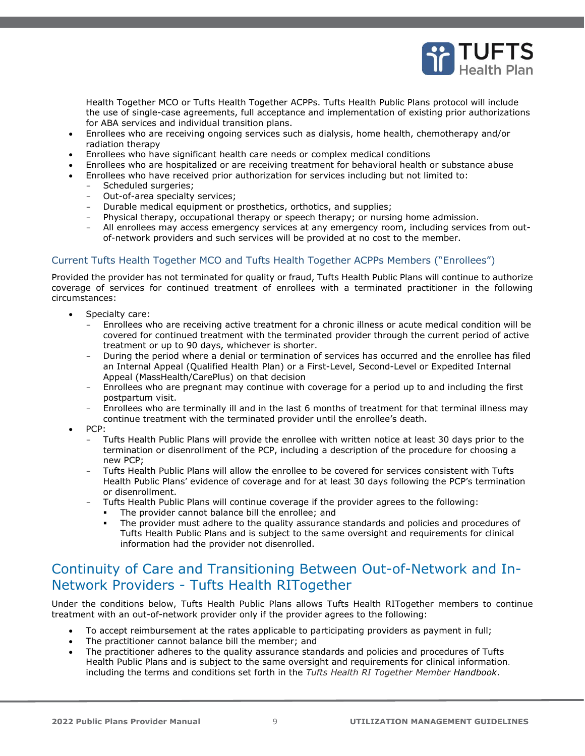

Health Together MCO or Tufts Health Together ACPPs. Tufts Health Public Plans protocol will include the use of single-case agreements, full acceptance and implementation of existing prior authorizations for ABA services and individual transition plans.

- Enrollees who are receiving ongoing services such as dialysis, home health, chemotherapy and/or radiation therapy
- Enrollees who have significant health care needs or complex medical conditions
- Enrollees who are hospitalized or are receiving treatment for behavioral health or substance abuse
- Enrollees who have received prior authorization for services including but not limited to:
	- Scheduled surgeries;
	- Out-of-area specialty services;
	- Durable medical equipment or prosthetics, orthotics, and supplies;
	- Physical therapy, occupational therapy or speech therapy; or nursing home admission.
	- All enrollees may access emergency services at any emergency room, including services from outof-network providers and such services will be provided at no cost to the member.

### <span id="page-8-0"></span>Current Tufts Health Together MCO and Tufts Health Together ACPPs Members ("Enrollees")

Provided the provider has not terminated for quality or fraud, Tufts Health Public Plans will continue to authorize coverage of services for continued treatment of enrollees with a terminated practitioner in the following circumstances:

- Specialty care:
	- Enrollees who are receiving active treatment for a chronic illness or acute medical condition will be covered for continued treatment with the terminated provider through the current period of active treatment or up to 90 days, whichever is shorter.
	- During the period where a denial or termination of services has occurred and the enrollee has filed an Internal Appeal (Qualified Health Plan) or a First-Level, Second-Level or Expedited Internal Appeal (MassHealth/CarePlus) on that decision
	- Enrollees who are pregnant may continue with coverage for a period up to and including the first postpartum visit.
	- Enrollees who are terminally ill and in the last 6 months of treatment for that terminal illness may continue treatment with the terminated provider until the enrollee's death.
- PCP:
	- Tufts Health Public Plans will provide the enrollee with written notice at least 30 days prior to the termination or disenrollment of the PCP, including a description of the procedure for choosing a new PCP;
	- Tufts Health Public Plans will allow the enrollee to be covered for services consistent with Tufts Health Public Plans' evidence of coverage and for at least 30 days following the PCP's termination or disenrollment.
		- Tufts Health Public Plans will continue coverage if the provider agrees to the following:
		- The provider cannot balance bill the enrollee; and
		- The provider must adhere to the quality assurance standards and policies and procedures of Tufts Health Public Plans and is subject to the same oversight and requirements for clinical information had the provider not disenrolled.

### <span id="page-8-1"></span>Continuity of Care and Transitioning Between Out-of-Network and In-Network Providers - Tufts Health RITogether

Under the conditions below, Tufts Health Public Plans allows Tufts Health RITogether members to continue treatment with an out-of-network provider only if the provider agrees to the following:

- To accept reimbursement at the rates applicable to participating providers as payment in full;
- The practitioner cannot balance bill the member; and
- The practitioner adheres to the quality assurance standards and policies and procedures of Tufts Health Public Plans and is subject to the same oversight and requirements for clinical information. including the terms and conditions set forth in the *Tufts Health RI Together Member Handbook*.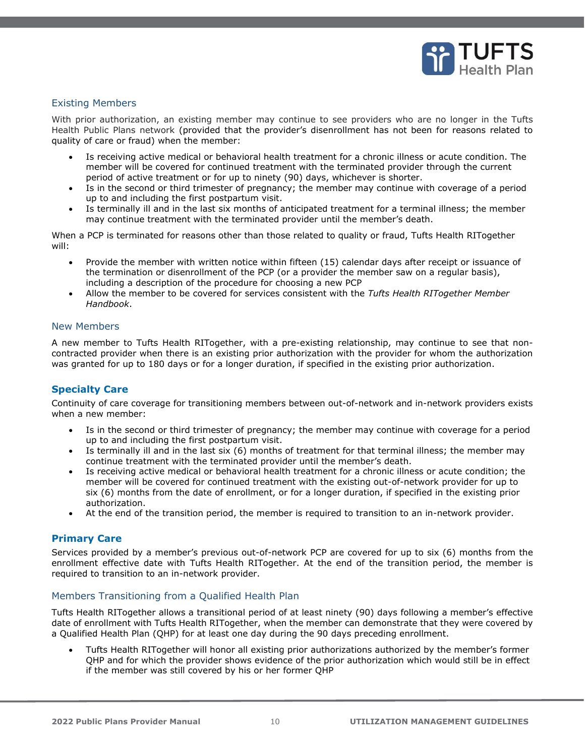

### <span id="page-9-0"></span>Existing Members

With prior authorization, an existing member may continue to see providers who are no longer in the Tufts Health Public Plans network (provided that the provider's disenrollment has not been for reasons related to quality of care or fraud) when the member:

- Is receiving active medical or behavioral health treatment for a chronic illness or acute condition. The member will be covered for continued treatment with the terminated provider through the current period of active treatment or for up to ninety (90) days, whichever is shorter.
- Is in the second or third trimester of pregnancy; the member may continue with coverage of a period up to and including the first postpartum visit.
- Is terminally ill and in the last six months of anticipated treatment for a terminal illness; the member may continue treatment with the terminated provider until the member's death.

When a PCP is terminated for reasons other than those related to quality or fraud, Tufts Health RITogether will:

- Provide the member with written notice within fifteen (15) calendar days after receipt or issuance of the termination or disenrollment of the PCP (or a provider the member saw on a regular basis), including a description of the procedure for choosing a new PCP
- Allow the member to be covered for services consistent with the *Tufts Health RITogether Member Handbook*.

#### <span id="page-9-1"></span>New Members

A new member to Tufts Health RITogether, with a pre-existing relationship, may continue to see that noncontracted provider when there is an existing prior authorization with the provider for whom the authorization was granted for up to 180 days or for a longer duration, if specified in the existing prior authorization.

### **Specialty Care**

Continuity of care coverage for transitioning members between out-of-network and in-network providers exists when a new member:

- Is in the second or third trimester of pregnancy; the member may continue with coverage for a period up to and including the first postpartum visit.
- Is terminally ill and in the last six (6) months of treatment for that terminal illness; the member may continue treatment with the terminated provider until the member's death.
- Is receiving active medical or behavioral health treatment for a chronic illness or acute condition; the member will be covered for continued treatment with the existing out-of-network provider for up to six (6) months from the date of enrollment, or for a longer duration, if specified in the existing prior authorization.
- At the end of the transition period, the member is required to transition to an in-network provider.

#### **Primary Care**

Services provided by a member's previous out-of-network PCP are covered for up to six (6) months from the enrollment effective date with Tufts Health RITogether. At the end of the transition period, the member is required to transition to an in-network provider.

#### <span id="page-9-2"></span>Members Transitioning from a Qualified Health Plan

Tufts Health RITogether allows a transitional period of at least ninety (90) days following a member's effective date of enrollment with Tufts Health RITogether, when the member can demonstrate that they were covered by a Qualified Health Plan (QHP) for at least one day during the 90 days preceding enrollment.

• Tufts Health RITogether will honor all existing prior authorizations authorized by the member's former QHP and for which the provider shows evidence of the prior authorization which would still be in effect if the member was still covered by his or her former QHP